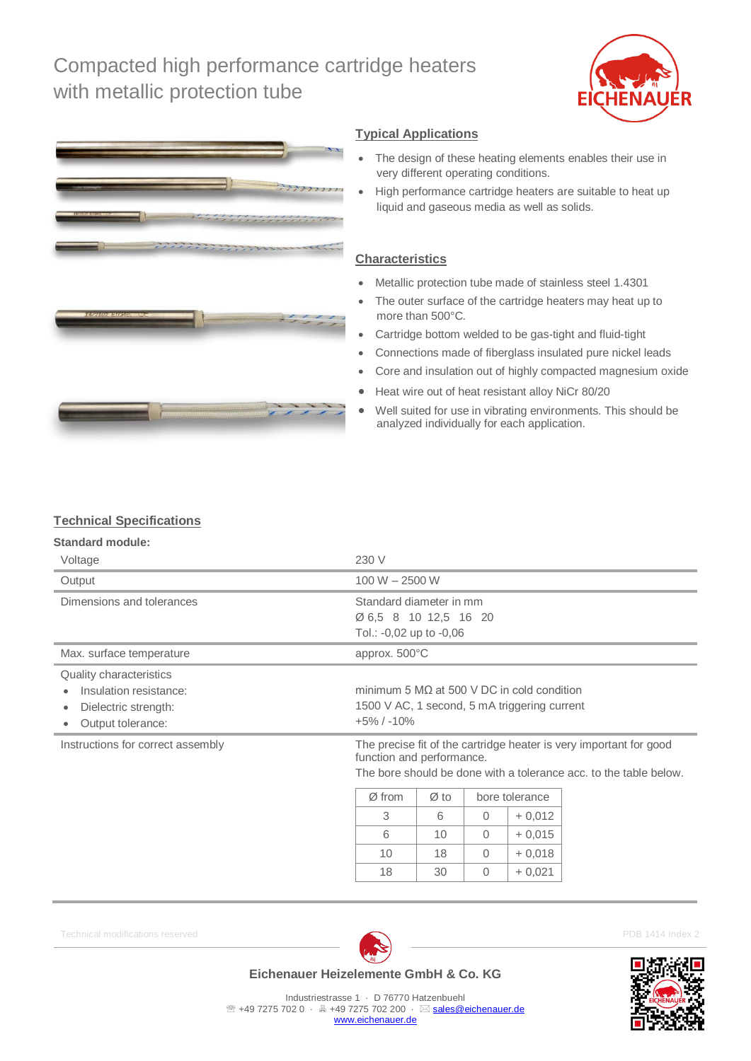# Compacted high performance cartridge heaters with metallic protection tube





### **Typical Applications**

- The design of these heating elements enables their use in very different operating conditions.
- High performance cartridge heaters are suitable to heat up liquid and gaseous media as well as solids.

### **Characteristics**

- Metallic protection tube made of stainless steel 1.4301
- The outer surface of the cartridge heaters may heat up to more than 500°C.
- Cartridge bottom welded to be gas-tight and fluid-tight
- Connections made of fiberglass insulated pure nickel leads
- Core and insulation out of highly compacted magnesium oxide
- Heat wire out of heat resistant alloy NiCr 80/20
- Well suited for use in vibrating environments. This should be analyzed individually for each application.

## **Technical Specifications**

#### **Standard module:**

| Voltage                                                                                                            | 230 V                                                                                                                                                                                                                |    |          |          |  |  |
|--------------------------------------------------------------------------------------------------------------------|----------------------------------------------------------------------------------------------------------------------------------------------------------------------------------------------------------------------|----|----------|----------|--|--|
| Output                                                                                                             | $100 W - 2500 W$                                                                                                                                                                                                     |    |          |          |  |  |
| Dimensions and tolerances                                                                                          | Standard diameter in mm<br>Ø 6,5 8 10 12,5 16 20<br>Tol.: -0,02 up to -0,06                                                                                                                                          |    |          |          |  |  |
| Max. surface temperature                                                                                           | approx. 500°C                                                                                                                                                                                                        |    |          |          |  |  |
| <b>Quality characteristics</b><br>Insulation resistance:<br>Dielectric strength:<br>Output tolerance:<br>$\bullet$ | minimum 5 $M\Omega$ at 500 V DC in cold condition<br>1500 V AC, 1 second, 5 mA triggering current<br>$+5\%$ / $-10\%$                                                                                                |    |          |          |  |  |
| Instructions for correct assembly                                                                                  | The precise fit of the cartridge heater is very important for good<br>function and performance.<br>The bore should be done with a tolerance acc, to the table below.<br>$\varnothing$ from<br>bore tolerance<br>Ø to |    |          |          |  |  |
|                                                                                                                    | 3                                                                                                                                                                                                                    | 6  | $\Omega$ | $+0,012$ |  |  |
|                                                                                                                    | 6                                                                                                                                                                                                                    | 10 | $\Omega$ | $+0,015$ |  |  |
|                                                                                                                    | 10                                                                                                                                                                                                                   | 18 | $\Omega$ | $+0,018$ |  |  |

Technical modifications reserved **PDB 1414** Index 2



18 | 30 | 0 | + 0,021

## **Eichenauer Heizelemente GmbH & Co. KG**

Industriestrasse 1 · D 76770 Hatzenbuehl <sup>2</sup> +49 7275 702 0 · 昌 +49 7275 702 200 · ⊠ [sales@eichenauer.de](mailto:sales@eichenauer.de) [www.eichenauer.de](http://www.eichenauer.de/)